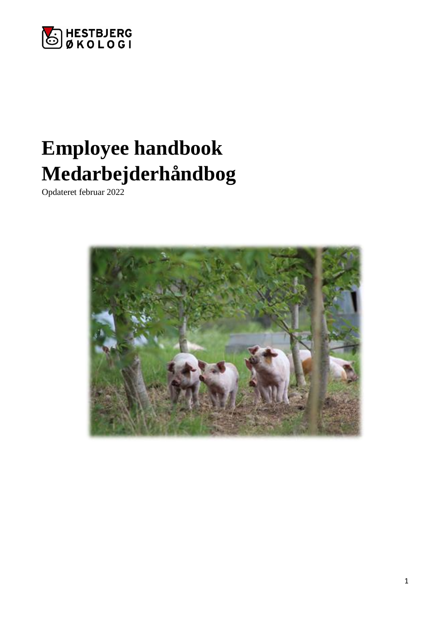

# **Employee handbook Medarbejderhåndbog**

Opdateret februar 2022

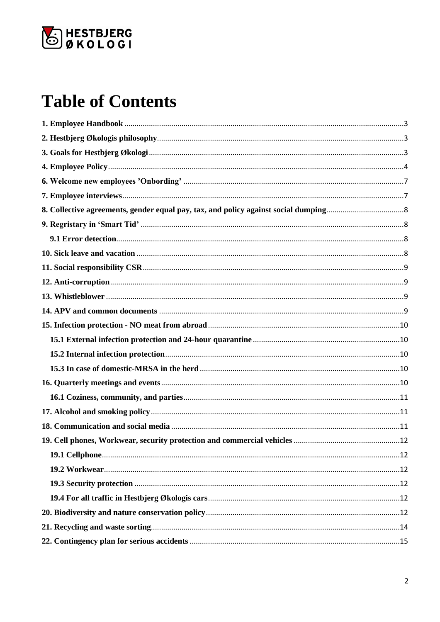

# **Table of Contents**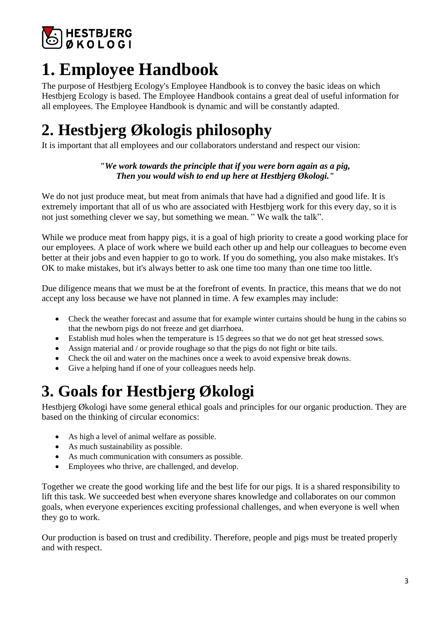

# <span id="page-2-0"></span>**1. Employee Handbook**

The purpose of Hestbjerg Ecology's Employee Handbook is to convey the basic ideas on which Hestbjerg Ecology is based. The Employee Handbook contains a great deal of useful information for all employees. The Employee Handbook is dynamic and will be constantly adapted.

# <span id="page-2-1"></span>**2. Hestbjerg Økologis philosophy**

It is important that all employees and our collaborators understand and respect our vision:

### *"We work towards the principle that if you were born again as a pig, Then you would wish to end up here at Hestbjerg Økologi."*

We do not just produce meat, but meat from animals that have had a dignified and good life. It is extremely important that all of us who are associated with Hestbierg work for this every day, so it is not just something clever we say, but something we mean. " We walk the talk".

While we produce meat from happy pigs, it is a goal of high priority to create a good working place for our employees. A place of work where we build each other up and help our colleagues to become even better at their jobs and even happier to go to work. If you do something, you also make mistakes. It's OK to make mistakes, but it's always better to ask one time too many than one time too little.

Due diligence means that we must be at the forefront of events. In practice, this means that we do not accept any loss because we have not planned in time. A few examples may include:

- Check the weather forecast and assume that for example winter curtains should be hung in the cabins so that the newborn pigs do not freeze and get diarrhoea.
- Establish mud holes when the temperature is 15 degrees so that we do not get heat stressed sows.
- Assign material and / or provide roughage so that the pigs do not fight or bite tails.
- Check the oil and water on the machines once a week to avoid expensive break downs.
- Give a helping hand if one of your colleagues needs help.

# <span id="page-2-2"></span>**3. Goals for Hestbjerg Økologi**

Hestbjerg Økologi have some general ethical goals and principles for our organic production. They are based on the thinking of circular economics:

- As high a level of animal welfare as possible.
- As much sustainability as possible.
- As much communication with consumers as possible.
- Employees who thrive, are challenged, and develop.

Together we create the good working life and the best life for our pigs. It is a shared responsibility to lift this task. We succeeded best when everyone shares knowledge and collaborates on our common goals, when everyone experiences exciting professional challenges, and when everyone is well when they go to work.

Our production is based on trust and credibility. Therefore, people and pigs must be treated properly and with respect.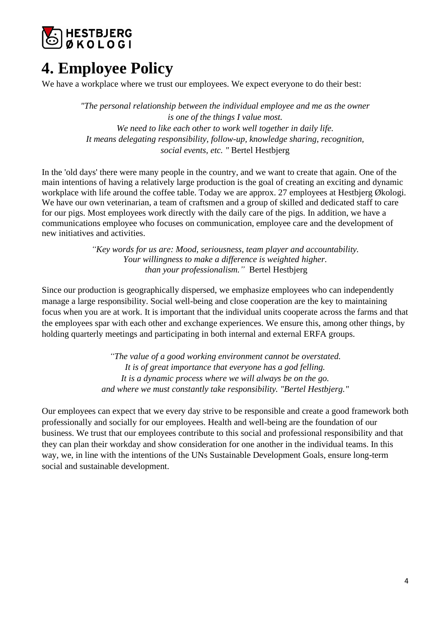

## <span id="page-3-0"></span>**4. Employee Policy**

We have a workplace where we trust our employees. We expect everyone to do their best:

*"The personal relationship between the individual employee and me as the owner is one of the things I value most. We need to like each other to work well together in daily life. It means delegating responsibility, follow-up, knowledge sharing, recognition, social events, etc. "* Bertel Hestbjerg

In the 'old days' there were many people in the country, and we want to create that again. One of the main intentions of having a relatively large production is the goal of creating an exciting and dynamic workplace with life around the coffee table. Today we are approx. 27 employees at Hestbjerg Økologi. We have our own veterinarian, a team of craftsmen and a group of skilled and dedicated staff to care for our pigs. Most employees work directly with the daily care of the pigs. In addition, we have a communications employee who focuses on communication, employee care and the development of new initiatives and activities.

> *"Key words for us are: Mood, seriousness, team player and accountability. Your willingness to make a difference is weighted higher. than your professionalism."* Bertel Hestbjerg

Since our production is geographically dispersed, we emphasize employees who can independently manage a large responsibility. Social well-being and close cooperation are the key to maintaining focus when you are at work. It is important that the individual units cooperate across the farms and that the employees spar with each other and exchange experiences. We ensure this, among other things, by holding quarterly meetings and participating in both internal and external ERFA groups.

> *"The value of a good working environment cannot be overstated. It is of great importance that everyone has a god felling. It is a dynamic process where we will always be on the go. and where we must constantly take responsibility. "Bertel Hestbjerg."*

Our employees can expect that we every day strive to be responsible and create a good framework both professionally and socially for our employees. Health and well-being are the foundation of our business. We trust that our employees contribute to this social and professional responsibility and that they can plan their workday and show consideration for one another in the individual teams. In this way, we, in line with the intentions of the UNs Sustainable Development Goals, ensure long-term social and sustainable development.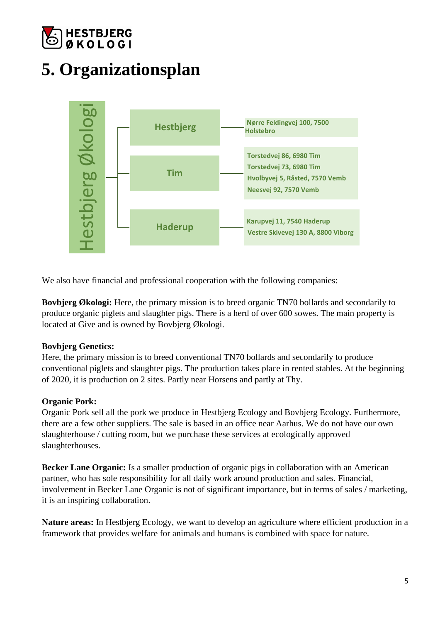

# **5. Organizationsplan**



We also have financial and professional cooperation with the following companies:

**Bovbjerg Økologi:** Here, the primary mission is to breed organic TN70 bollards and secondarily to produce organic piglets and slaughter pigs. There is a herd of over 600 sowes. The main property is located at Give and is owned by Bovbjerg Økologi.

### **Bovbjerg Genetics:**

Here, the primary mission is to breed conventional TN70 bollards and secondarily to produce conventional piglets and slaughter pigs. The production takes place in rented stables. At the beginning of 2020, it is production on 2 sites. Partly near Horsens and partly at Thy.

### **Organic Pork:**

Organic Pork sell all the pork we produce in Hestbjerg Ecology and Bovbjerg Ecology. Furthermore, there are a few other suppliers. The sale is based in an office near Aarhus. We do not have our own slaughterhouse / cutting room, but we purchase these services at ecologically approved slaughterhouses.

**Becker Lane Organic:** Is a smaller production of organic pigs in collaboration with an American partner, who has sole responsibility for all daily work around production and sales. Financial, involvement in Becker Lane Organic is not of significant importance, but in terms of sales / marketing, it is an inspiring collaboration.

**Nature areas:** In Hestbjerg Ecology, we want to develop an agriculture where efficient production in a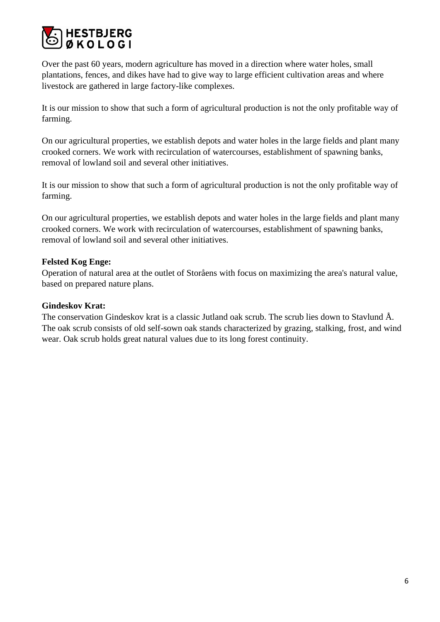

Over the past 60 years, modern agriculture has moved in a direction where water holes, small plantations, fences, and dikes have had to give way to large efficient cultivation areas and where livestock are gathered in large factory-like complexes.

It is our mission to show that such a form of agricultural production is not the only profitable way of farming.

On our agricultural properties, we establish depots and water holes in the large fields and plant many crooked corners. We work with recirculation of watercourses, establishment of spawning banks, removal of lowland soil and several other initiatives.

It is our mission to show that such a form of agricultural production is not the only profitable way of farming.

On our agricultural properties, we establish depots and water holes in the large fields and plant many crooked corners. We work with recirculation of watercourses, establishment of spawning banks, removal of lowland soil and several other initiatives.

### **Felsted Kog Enge:**

Operation of natural area at the outlet of Storåens with focus on maximizing the area's natural value, based on prepared nature plans.

#### **Gindeskov Krat:**

The conservation Gindeskov krat is a classic Jutland oak scrub. The scrub lies down to Stavlund Å. The oak scrub consists of old self-sown oak stands characterized by grazing, stalking, frost, and wind wear. Oak scrub holds great natural values due to its long forest continuity.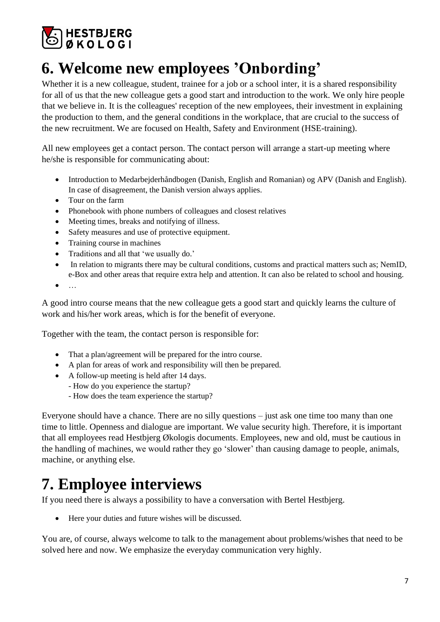

## <span id="page-6-0"></span>**6. Welcome new employees 'Onbording'**

Whether it is a new colleague, student, trainee for a job or a school inter, it is a shared responsibility for all of us that the new colleague gets a good start and introduction to the work. We only hire people that we believe in. It is the colleagues' reception of the new employees, their investment in explaining the production to them, and the general conditions in the workplace, that are crucial to the success of the new recruitment. We are focused on Health, Safety and Environment (HSE-training).

All new employees get a contact person. The contact person will arrange a start-up meeting where he/she is responsible for communicating about:

- Introduction to Medarbejderhåndbogen (Danish, English and Romanian) og APV (Danish and English). In case of disagreement, the Danish version always applies.
- Tour on the farm
- Phonebook with phone numbers of colleagues and closest relatives
- Meeting times, breaks and notifying of illness.
- Safety measures and use of protective equipment.
- Training course in machines
- Traditions and all that 'we usually do.'
- In relation to migrants there may be cultural conditions, customs and practical matters such as; NemID, e-Box and other areas that require extra help and attention. It can also be related to school and housing.
- $\bullet$   $\dots$

A good intro course means that the new colleague gets a good start and quickly learns the culture of work and his/her work areas, which is for the benefit of everyone.

Together with the team, the contact person is responsible for:

- That a plan/agreement will be prepared for the intro course.
- A plan for areas of work and responsibility will then be prepared.
- A follow-up meeting is held after 14 days.
	- How do you experience the startup?
	- How does the team experience the startup?

Everyone should have a chance. There are no silly questions – just ask one time too many than one time to little. Openness and dialogue are important. We value security high. Therefore, it is important that all employees read Hestbjerg Økologis documents. Employees, new and old, must be cautious in the handling of machines, we would rather they go 'slower' than causing damage to people, animals, machine, or anything else.

## <span id="page-6-1"></span>**7. Employee interviews**

If you need there is always a possibility to have a conversation with Bertel Hestbjerg.

• Here your duties and future wishes will be discussed.

You are, of course, always welcome to talk to the management about problems/wishes that need to be solved here and now. We emphasize the everyday communication very highly.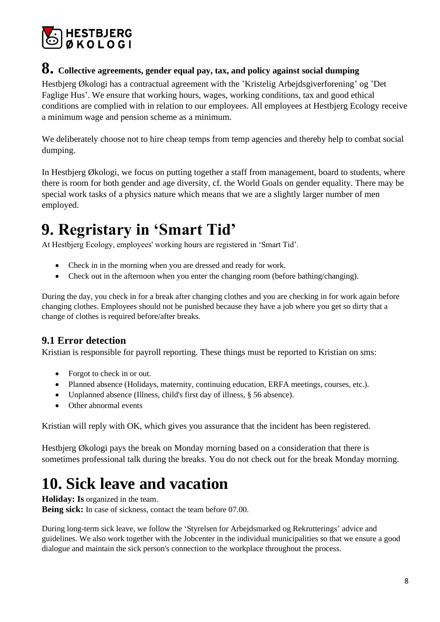![](_page_7_Picture_0.jpeg)

## <span id="page-7-0"></span>**8. Collective agreements, gender equal pay, tax, and policy against social dumping**

Hestbjerg Økologi has a contractual agreement with the 'Kristelig Arbejdsgiverforening' og 'Det Faglige Hus'. We ensure that working hours, wages, working conditions, tax and good ethical conditions are complied with in relation to our employees. All employees at Hestbjerg Ecology receive a minimum wage and pension scheme as a minimum.

We deliberately choose not to hire cheap temps from temp agencies and thereby help to combat social dumping.

In Hestbjerg Økologi, we focus on putting together a staff from management, board to students, where there is room for both gender and age diversity, cf. the World Goals on gender equality. There may be special work tasks of a physics nature which means that we are a slightly larger number of men employed.

# <span id="page-7-1"></span>**9. Regristary in 'Smart Tid'**

At Hestbjerg Ecology, employees' working hours are registered in 'Smart Tid'.

- Check in in the morning when you are dressed and ready for work.
- Check out in the afternoon when you enter the changing room (before bathing/changing).

During the day, you check in for a break after changing clothes and you are checking in for work again before changing clothes. Employees should not be punished because they have a job where you get so dirty that a change of clothes is required before/after breaks.

### <span id="page-7-2"></span>**9.1 Error detection**

Kristian is responsible for payroll reporting. These things must be reported to Kristian on sms:

- Forgot to check in or out.
- Planned absence (Holidays, maternity, continuing education, ERFA meetings, courses, etc.).
- Unplanned absence (Illness, child's first day of illness, § 56 absence).
- Other abnormal events

Kristian will reply with OK, which gives you assurance that the incident has been registered.

Hestbjerg Økologi pays the break on Monday morning based on a consideration that there is sometimes professional talk during the breaks. You do not check out for the break Monday morning.

## <span id="page-7-3"></span>**10. Sick leave and vacation**

**Holiday: Is** organized in the team.

**Being sick:** In case of sickness, contact the team before 07.00.

During long-term sick leave, we follow the 'Styrelsen for Arbejdsmarked og Rekrutterings' advice and guidelines. We also work together with the Jobcenter in the individual municipalities so that we ensure a good dialogue and maintain the sick person's connection to the workplace throughout the process.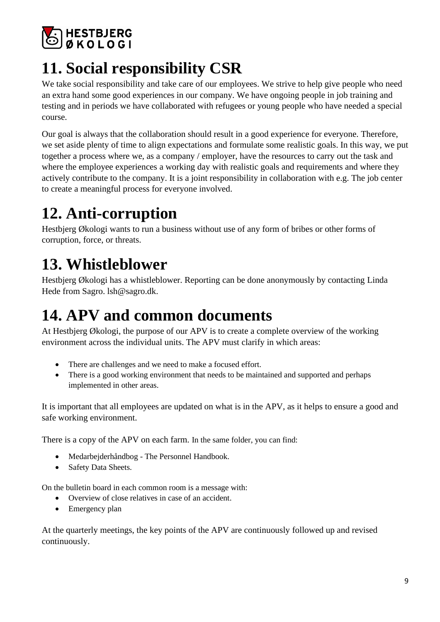![](_page_8_Picture_0.jpeg)

# <span id="page-8-0"></span>**11. Social responsibility CSR**

We take social responsibility and take care of our employees. We strive to help give people who need an extra hand some good experiences in our company. We have ongoing people in job training and testing and in periods we have collaborated with refugees or young people who have needed a special course.

Our goal is always that the collaboration should result in a good experience for everyone. Therefore, we set aside plenty of time to align expectations and formulate some realistic goals. In this way, we put together a process where we, as a company / employer, have the resources to carry out the task and where the employee experiences a working day with realistic goals and requirements and where they actively contribute to the company. It is a joint responsibility in collaboration with e.g. The job center to create a meaningful process for everyone involved.

# <span id="page-8-1"></span>**12. Anti-corruption**

Hestbjerg Økologi wants to run a business without use of any form of bribes or other forms of corruption, force, or threats.

# <span id="page-8-2"></span>**13. Whistleblower**

Hestbjerg Økologi has a whistleblower. Reporting can be done anonymously by contacting Linda Hede from Sagro. lsh@sagro.dk.

## <span id="page-8-3"></span>**14. APV and common documents**

At Hestbjerg Økologi, the purpose of our APV is to create a complete overview of the working environment across the individual units. The APV must clarify in which areas:

- There are challenges and we need to make a focused effort.
- There is a good working environment that needs to be maintained and supported and perhaps implemented in other areas.

It is important that all employees are updated on what is in the APV, as it helps to ensure a good and safe working environment.

There is a copy of the APV on each farm. In the same folder, you can find:

- Medarbejderhåndbog The Personnel Handbook.
- Safety Data Sheets.

On the bulletin board in each common room is a message with:

- Overview of close relatives in case of an accident.
- Emergency plan

At the quarterly meetings, the key points of the APV are continuously followed up and revised continuously.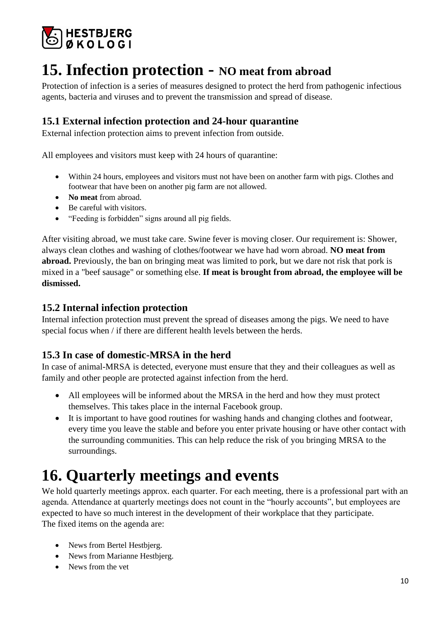![](_page_9_Picture_0.jpeg)

## <span id="page-9-0"></span>**15. Infection protection - NO meat from abroad**

Protection of infection is a series of measures designed to protect the herd from pathogenic infectious agents, bacteria and viruses and to prevent the transmission and spread of disease.

## <span id="page-9-1"></span>**15.1 External infection protection and 24-hour quarantine**

External infection protection aims to prevent infection from outside.

All employees and visitors must keep with 24 hours of quarantine:

- Within 24 hours, employees and visitors must not have been on another farm with pigs. Clothes and footwear that have been on another pig farm are not allowed.
- **No meat from abroad.**
- Be careful with visitors.
- "Feeding is forbidden" signs around all pig fields.

After visiting abroad, we must take care. Swine fever is moving closer. Our requirement is: Shower, always clean clothes and washing of clothes/footwear we have had worn abroad. **NO meat from abroad.** Previously, the ban on bringing meat was limited to pork, but we dare not risk that pork is mixed in a "beef sausage" or something else. **If meat is brought from abroad, the employee will be dismissed.** 

### <span id="page-9-2"></span>**15.2 Internal infection protection**

Internal infection protection must prevent the spread of diseases among the pigs. We need to have special focus when / if there are different health levels between the herds.

### <span id="page-9-3"></span>**15.3 In case of domestic-MRSA in the herd**

In case of animal-MRSA is detected, everyone must ensure that they and their colleagues as well as family and other people are protected against infection from the herd.

- All employees will be informed about the MRSA in the herd and how they must protect themselves. This takes place in the internal Facebook group.
- It is important to have good routines for washing hands and changing clothes and footwear, every time you leave the stable and before you enter private housing or have other contact with the surrounding communities. This can help reduce the risk of you bringing MRSA to the surroundings.

## <span id="page-9-4"></span>**16. Quarterly meetings and events**

We hold quarterly meetings approx. each quarter. For each meeting, there is a professional part with an agenda. Attendance at quarterly meetings does not count in the "hourly accounts", but employees are expected to have so much interest in the development of their workplace that they participate. The fixed items on the agenda are:

- News from Bertel Hestbjerg.
- News from Marianne Hestbjerg.
- News from the vet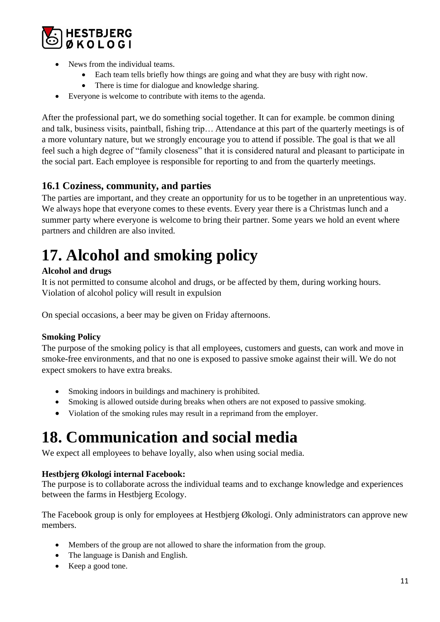![](_page_10_Picture_0.jpeg)

- News from the individual teams.
	- Each team tells briefly how things are going and what they are busy with right now.
	- There is time for dialogue and knowledge sharing.
- Everyone is welcome to contribute with items to the agenda.

After the professional part, we do something social together. It can for example. be common dining and talk, business visits, paintball, fishing trip… Attendance at this part of the quarterly meetings is of a more voluntary nature, but we strongly encourage you to attend if possible. The goal is that we all feel such a high degree of "family closeness" that it is considered natural and pleasant to participate in the social part. Each employee is responsible for reporting to and from the quarterly meetings.

## <span id="page-10-0"></span>**16.1 Coziness, community, and parties**

The parties are important, and they create an opportunity for us to be together in an unpretentious way. We always hope that everyone comes to these events. Every year there is a Christmas lunch and a summer party where everyone is welcome to bring their partner. Some years we hold an event where partners and children are also invited.

# <span id="page-10-1"></span>**17. Alcohol and smoking policy**

### **Alcohol and drugs**

It is not permitted to consume alcohol and drugs, or be affected by them, during working hours. Violation of alcohol policy will result in expulsion

On special occasions, a beer may be given on Friday afternoons.

### **Smoking Policy**

The purpose of the smoking policy is that all employees, customers and guests, can work and move in smoke-free environments, and that no one is exposed to passive smoke against their will. We do not expect smokers to have extra breaks.

- Smoking indoors in buildings and machinery is prohibited.
- Smoking is allowed outside during breaks when others are not exposed to passive smoking.
- Violation of the smoking rules may result in a reprimand from the employer.

## <span id="page-10-2"></span>**18. Communication and social media**

We expect all employees to behave loyally, also when using social media.

### **Hestbjerg Økologi internal Facebook:**

The purpose is to collaborate across the individual teams and to exchange knowledge and experiences between the farms in Hestbjerg Ecology.

The Facebook group is only for employees at Hestbjerg Økologi. Only administrators can approve new members.

- Members of the group are not allowed to share the information from the group.
- The language is Danish and English.
- Keep a good tone.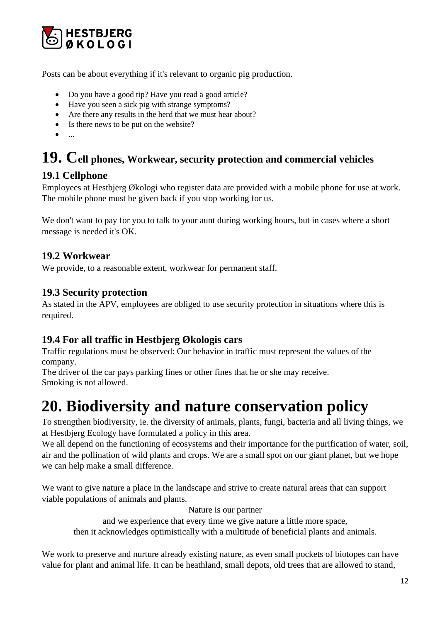![](_page_11_Picture_0.jpeg)

Posts can be about everything if it's relevant to organic pig production.

- Do you have a good tip? Have you read a good article?
- Have you seen a sick pig with strange symptoms?
- Are there any results in the herd that we must hear about?
- Is there news to be put on the website?
- $\bullet$  ...

# <span id="page-11-0"></span>**19. Cell phones, Workwear, security protection and commercial vehicles**

### <span id="page-11-1"></span>**19.1 Cellphone**

Employees at Hestbjerg Økologi who register data are provided with a mobile phone for use at work. The mobile phone must be given back if you stop working for us.

We don't want to pay for you to talk to your aunt during working hours, but in cases where a short message is needed it's OK.

### <span id="page-11-2"></span>**19.2 Workwear**

We provide, to a reasonable extent, workwear for permanent staff.

### <span id="page-11-3"></span>**19.3 Security protection**

As stated in the APV, employees are obliged to use security protection in situations where this is required.

### <span id="page-11-4"></span>**19.4 For all traffic in Hestbjerg Økologis cars**

Traffic regulations must be observed: Our behavior in traffic must represent the values of the company.

The driver of the car pays parking fines or other fines that he or she may receive. Smoking is not allowed.

## <span id="page-11-5"></span>**20. Biodiversity and nature conservation policy**

To strengthen biodiversity, ie. the diversity of animals, plants, fungi, bacteria and all living things, we at Hestbjerg Ecology have formulated a policy in this area.

We all depend on the functioning of ecosystems and their importance for the purification of water, soil, air and the pollination of wild plants and crops. We are a small spot on our giant planet, but we hope we can help make a small difference.

We want to give nature a place in the landscape and strive to create natural areas that can support viable populations of animals and plants.

Nature is our partner

and we experience that every time we give nature a little more space, then it acknowledges optimistically with a multitude of beneficial plants and animals.

We work to preserve and nurture already existing nature, as even small pockets of biotopes can have value for plant and animal life. It can be heathland, small depots, old trees that are allowed to stand,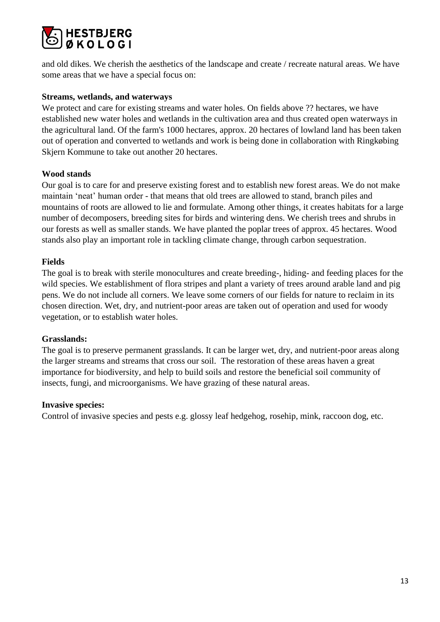![](_page_12_Picture_0.jpeg)

and old dikes. We cherish the aesthetics of the landscape and create / recreate natural areas. We have some areas that we have a special focus on:

#### **Streams, wetlands, and waterways**

We protect and care for existing streams and water holes. On fields above ?? hectares, we have established new water holes and wetlands in the cultivation area and thus created open waterways in the agricultural land. Of the farm's 1000 hectares, approx. 20 hectares of lowland land has been taken out of operation and converted to wetlands and work is being done in collaboration with Ringkøbing Skjern Kommune to take out another 20 hectares.

#### **Wood stands**

Our goal is to care for and preserve existing forest and to establish new forest areas. We do not make maintain 'neat' human order - that means that old trees are allowed to stand, branch piles and mountains of roots are allowed to lie and formulate. Among other things, it creates habitats for a large number of decomposers, breeding sites for birds and wintering dens. We cherish trees and shrubs in our forests as well as smaller stands. We have planted the poplar trees of approx. 45 hectares. Wood stands also play an important role in tackling climate change, through carbon sequestration.

#### **Fields**

The goal is to break with sterile monocultures and create breeding-, hiding- and feeding places for the wild species. We establishment of flora stripes and plant a variety of trees around arable land and pig pens. We do not include all corners. We leave some corners of our fields for nature to reclaim in its chosen direction. Wet, dry, and nutrient-poor areas are taken out of operation and used for woody vegetation, or to establish water holes.

#### **Grasslands:**

The goal is to preserve permanent grasslands. It can be larger wet, dry, and nutrient-poor areas along the larger streams and streams that cross our soil. The restoration of these areas haven a great importance for biodiversity, and help to build soils and restore the beneficial soil community of insects, fungi, and microorganisms. We have grazing of these natural areas.

#### **Invasive species:**

Control of invasive species and pests e.g. glossy leaf hedgehog, rosehip, mink, raccoon dog, etc.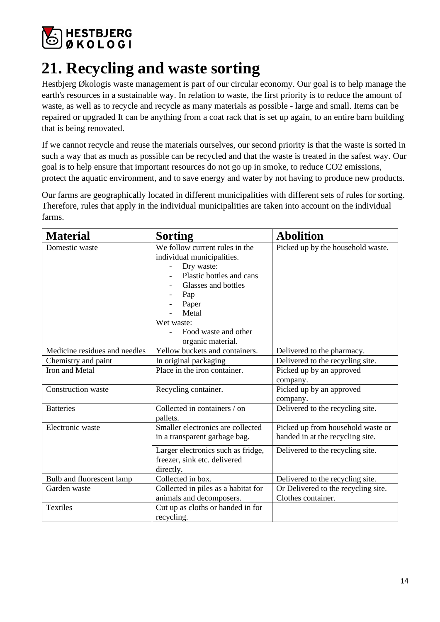![](_page_13_Picture_0.jpeg)

# <span id="page-13-0"></span>**21. Recycling and waste sorting**

Hestbjerg Økologis waste management is part of our circular economy. Our goal is to help manage the earth's resources in a sustainable way. In relation to waste, the first priority is to reduce the amount of waste, as well as to recycle and recycle as many materials as possible - large and small. Items can be repaired or upgraded It can be anything from a coat rack that is set up again, to an entire barn building that is being renovated.

If we cannot recycle and reuse the materials ourselves, our second priority is that the waste is sorted in such a way that as much as possible can be recycled and that the waste is treated in the safest way. Our goal is to help ensure that important resources do not go up in smoke, to reduce CO2 emissions, protect the aquatic environment, and to save energy and water by not having to produce new products.

Our farms are geographically located in different municipalities with different sets of rules for sorting. Therefore, rules that apply in the individual municipalities are taken into account on the individual farms.

| <b>Material</b>               | <b>Sorting</b>                                                                                                                                                                                                    | <b>Abolition</b>                                                      |
|-------------------------------|-------------------------------------------------------------------------------------------------------------------------------------------------------------------------------------------------------------------|-----------------------------------------------------------------------|
| Domestic waste                | We follow current rules in the<br>individual municipalities.<br>Dry waste:<br>Plastic bottles and cans<br>Glasses and bottles<br>Pap<br>Paper<br>Metal<br>Wet waste:<br>Food waste and other<br>organic material. | Picked up by the household waste.                                     |
| Medicine residues and needles | Yellow buckets and containers.                                                                                                                                                                                    | Delivered to the pharmacy.                                            |
| Chemistry and paint           | In original packaging                                                                                                                                                                                             | Delivered to the recycling site.                                      |
| Iron and Metal                | Place in the iron container.                                                                                                                                                                                      | Picked up by an approved<br>company.                                  |
| Construction waste            | Recycling container.                                                                                                                                                                                              | Picked up by an approved<br>company.                                  |
| <b>Batteries</b>              | Collected in containers / on<br>pallets.                                                                                                                                                                          | Delivered to the recycling site.                                      |
| Electronic waste              | Smaller electronics are collected<br>in a transparent garbage bag.                                                                                                                                                | Picked up from household waste or<br>handed in at the recycling site. |
|                               | Larger electronics such as fridge,<br>freezer, sink etc. delivered<br>directly.                                                                                                                                   | Delivered to the recycling site.                                      |
| Bulb and fluorescent lamp     | Collected in box.                                                                                                                                                                                                 | Delivered to the recycling site.                                      |
| Garden waste                  | Collected in piles as a habitat for                                                                                                                                                                               | Or Delivered to the recycling site.                                   |
|                               | animals and decomposers.                                                                                                                                                                                          | Clothes container.                                                    |
| Textiles                      | Cut up as cloths or handed in for<br>recycling.                                                                                                                                                                   |                                                                       |